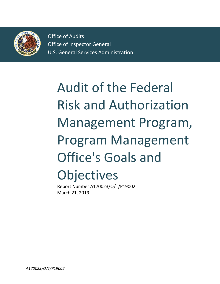

Office of Audits Office of Inspector General U.S. General Services Administration

# Audit of the Federal Risk and Authorization Management Program, Program Management Office's Goals and **Objectives**

Report Number A170023/Q/T/P19002 March 21, 2019

*A170023/Q/T/P19002*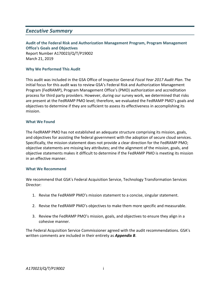### *Executive Summary*

#### **Audit of the Federal Risk and Authorization Management Program, Program Management Office's Goals and Objectives** Report Number A170023/Q/T/P19002 March 21, 2019

#### **Why We Performed This Audit**

This audit was included in the GSA Office of Inspector General *Fiscal Year 2017 Audit Plan*. The initial focus for this audit was to review GSA's Federal Risk and Authorization Management Program (FedRAMP), Program Management Office's (PMO) authorization and accreditation process for third party providers. However, during our survey work, we determined that risks are present at the FedRAMP PMO level; therefore, we evaluated the FedRAMP PMO's goals and objectives to determine if they are sufficient to assess its effectiveness in accomplishing its mission.

#### **What We Found**

The FedRAMP PMO has not established an adequate structure comprising its mission, goals, and objectives for assisting the federal government with the adoption of secure cloud services. Specifically, the mission statement does not provide a clear direction for the FedRAMP PMO; objective statements are missing key attributes; and the alignment of the mission, goals, and objective statements makes it difficult to determine if the FedRAMP PMO is meeting its mission in an effective manner.

#### **What We Recommend**

We recommend that GSA's Federal Acquisition Service, Technology Transformation Services Director:

- 1. Revise the FedRAMP PMO's mission statement to a concise, singular statement.
- 2. Revise the FedRAMP PMO's objectives to make them more specific and measurable.
- 3. Review the FedRAMP PMO's mission, goals, and objectives to ensure they align in a cohesive manner.

The Federal Acquisition Service Commissioner agreed with the audit recommendations. GSA's written comments are included in their entirety as *Appendix B*.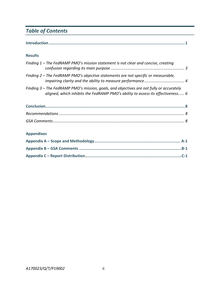# *Table of Contents*

|--|

#### **Results**

| Finding 1 – The FedRAMP PMO's mission statement is not clear and concise, creating                                                                                            |  |
|-------------------------------------------------------------------------------------------------------------------------------------------------------------------------------|--|
| Finding 2 – The FedRAMP PMO's objective statements are not specific or measurable,                                                                                            |  |
| Finding 3 – The FedRAMP PMO's mission, goals, and objectives are not fully or accurately<br>aligned, which inhibits the FedRAMP PMO's ability to assess its effectiveness $6$ |  |
|                                                                                                                                                                               |  |
|                                                                                                                                                                               |  |
|                                                                                                                                                                               |  |
| Annondivos                                                                                                                                                                    |  |

#### **Appendixes**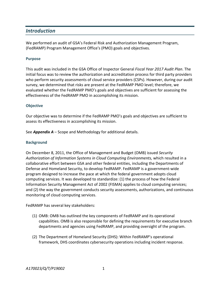## *Introduction*

We performed an audit of GSA's Federal Risk and Authorization Management Program, (FedRAMP) Program Management Office's (PMO) goals and objectives.

#### **Purpose**

This audit was included in the GSA Office of Inspector General *Fiscal Year 2017 Audit Plan*. The initial focus was to review the authorization and accreditation process for third party providers who perform security assessments of cloud service providers (CSPs). However, during our audit survey, we determined that risks are present at the FedRAMP PMO level; therefore, we evaluated whether the FedRAMP PMO's goals and objectives are sufficient for assessing the effectiveness of the FedRAMP PMO in accomplishing its mission.

#### **Objective**

Our objective was to determine if the FedRAMP PMO's goals and objectives are sufficient to assess its effectiveness in accomplishing its mission.

See *Appendix A* – Scope and Methodology for additional details.

#### **Background**

On December 8, 2011, the Office of Management and Budget (OMB) issued *Security Authorization of Information Systems in Cloud Computing Environments,* which resulted in a collaborative effort between GSA and other federal entities, including the Departments of Defense and Homeland Security, to develop FedRAMP. FedRAMP is a government-wide program designed to increase the pace at which the federal government adopts cloud computing services. It was developed to standardize: (1) the process of how the Federal Information Security Management Act of 2002 (FISMA) applies to cloud computing services; and (2) the way the government conducts security assessments, authorizations, and continuous monitoring of cloud computing services.

FedRAMP has several key stakeholders:

- (1) OMB: OMB has outlined the key components of FedRAMP and its operational capabilities. OMB is also responsible for defining the requirements for executive branch departments and agencies using FedRAMP, and providing oversight of the program.
- (2) The Department of Homeland Security (DHS): Within FedRAMP's operational framework, DHS coordinates cybersecurity operations including incident response.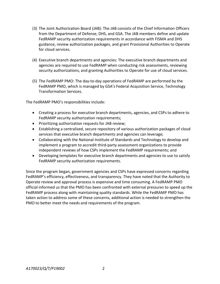- (3) The Joint Authorization Board (JAB): The JAB consists of the Chief Information Officers from the Department of Defense, DHS, and GSA. The JAB members define and update FedRAMP security authorization requirements in accordance with FISMA and DHS guidance, review authorization packages, and grant Provisional Authorities to Operate for cloud services.
- (4) Executive branch departments and agencies: The executive branch departments and agencies are required to use FedRAMP when conducting risk assessments, reviewing security authorizations, and granting Authorities to Operate for use of cloud services.
- (5) The FedRAMP PMO: The day-to-day operations of FedRAMP are performed by the FedRAMP PMO, which is managed by GSA's Federal Acquisition Service, Technology Transformation Services.

The FedRAMP PMO's responsibilities include:

- Creating a process for executive branch departments, agencies, and CSPs to adhere to FedRAMP security authorization requirements;
- Prioritizing authorization requests for JAB review;
- Establishing a centralized, secure repository of various authorization packages of cloud services that executive branch departments and agencies can leverage;
- Collaborating with the National Institute of Standards and Technology to develop and implement a program to accredit third-party assessment organizations to provide independent reviews of how CSPs implement the FedRAMP requirements; and
- Developing templates for executive branch departments and agencies to use to satisfy FedRAMP security authorization requirements.

Since the program began, government agencies and CSPs have expressed concerns regarding FedRAMP's efficiency, effectiveness, and transparency. They have noted that the Authority to Operate review and approval process is expensive and time consuming. A FedRAMP PMO official informed us that the PMO has been confronted with external pressures to speed up the FedRAMP process along with maintaining quality standards. While the FedRAMP PMO has taken action to address some of these concerns, additional action is needed to strengthen the PMO to better meet the needs and requirements of the program.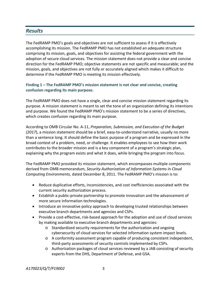## *Results*

The FedRAMP PMO's goals and objectives are not sufficient to assess if it is effectively accomplishing its mission. The FedRAMP PMO has not established an adequate structure comprising its mission, goals, and objectives for assisting the federal government with the adoption of secure cloud services. The mission statement does not provide a clear and concise direction for the FedRAMP PMO; objective statements are not specific and measurable; and the mission, goals, and objectives are not fully or accurately aligned which makes it difficult to determine if the FedRAMP PMO is meeting its mission effectively.

#### **Finding 1 – The FedRAMP PMO's mission statement is not clear and concise, creating confusion regarding its main purpose.**

The FedRAMP PMO does not have a single, clear and concise mission statement regarding its purpose. A mission statement is meant to set the tone of an organization defining its intentions and purpose. We found the FedRAMP PMO's mission statement to be a series of directives, which creates confusion regarding its main purpose.

According to OMB Circular No. A-11, *Preparation, Submission, and Execution of the Budget (2017*), a mission statement should be a brief, easy-to-understand narrative, usually no more than a sentence long. It should define the basic purpose of a program and be expressed in the broad context of a problem, need, or challenge. It enables employees to see how their work contributes to the broader mission and is a key component of a program's strategic plan, explaining why the program exists and what it does, while bringing the program into focus.

The FedRAMP PMO provided its mission statement, which encompasses multiple components derived from OMB memorandum, *Security Authorization of Information Systems in Cloud Computing Environments,* dated December 8, 2011. The FedRAMP PMO's mission is to:

- Reduce duplicative efforts, inconsistencies, and cost inefficiencies associated with the current security authorization process.
- Establish a public-private partnership to promote innovation and the advancement of more secure information technologies.
- Introduce an innovative policy approach to developing trusted relationships between executive branch departments and agencies and CSPs.
- Provide a cost-effective, risk-based approach for the adoption and use of cloud services by making available to executive branch departments and agencies:
	- o Standardized security requirements for the authorization and ongoing cybersecurity of cloud services for selected information system impact levels.
	- o A conformity assessment program capable of producing consistent independent, third-party assessments of security controls implemented by CSPs.
	- o Authorization packages of cloud services reviewed by a JAB consisting of security experts from the DHS, Department of Defense, and GSA.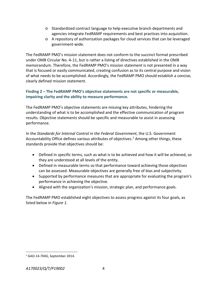- o Standardized contract language to help executive branch departments and agencies integrate FedRAMP requirements and best practices into acquisition.
- o A repository of authorization packages for cloud services that can be leveraged government-wide.

The FedRAMP PMO's mission statement does not conform to the succinct format prescribed under OMB Circular No. A-11, but is rather a listing of directives established in the OMB memorandum. Therefore, the FedRAMP PMO's mission statement is not presented in a way that is focused or easily communicated, creating confusion as to its central purpose and vision of what needs to be accomplished. Accordingly, the FedRAMP PMO should establish a concise, clearly defined mission statement.

#### **Finding 2 – The FedRAMP PMO's objective statements are not specific or measurable, impairing clarity and the ability to measure performance.**

The FedRAMP PMO's objective statements are missing key attributes, hindering the understanding of what is to be accomplished and the effective communication of program results. Objective statements should be specific and measurable to assist in assessing performance.

In the *Standards for Internal Control in the Federal Government*, the U.S. Government Accountability Office defines various attributes of objectives.<sup>[1](#page-6-0)</sup> Among other things, these standards provide that objectives should be:

- Defined in specific terms, such as what is to be achieved and how it will be achieved, so they are understood at all levels of the entity.
- Defined in measurable terms so that performance toward achieving those objectives can be assessed. Measurable objectives are generally free of bias and subjectivity.
- Supported by performance measures that are appropriate for evaluating the program's performance in achieving the objective.
- Aligned with the organization's mission, strategic plan, and performance goals.

The FedRAMP PMO established eight objectives to assess progress against its four goals, as listed below in *Figure 1*.

<span id="page-6-0"></span> <sup>1</sup> GAO-14-704G, September 2014.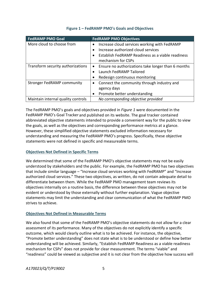| <b>FedRAMP PMO Goal</b>            | <b>FedRAMP PMO Objectives</b>                                                        |
|------------------------------------|--------------------------------------------------------------------------------------|
| More cloud to choose from          | Increase cloud services working with FedRAMP                                         |
|                                    | Increase authorized cloud services<br>$\bullet$                                      |
|                                    | Establish FedRAMP Readiness as a viable readiness<br>$\bullet$<br>mechanism for CSPs |
| Transform security authorizations  | Ensure no authorizations take longer than 6 months<br>$\bullet$                      |
|                                    | Launch FedRAMP Tailored<br>$\bullet$                                                 |
|                                    | Redesign continuous monitoring                                                       |
| Stronger FedRAMP community         | Connect the community through industry and                                           |
|                                    | agency days                                                                          |
|                                    | Promote better understanding<br>$\bullet$                                            |
| Maintain internal quality controls | No corresponding objective provided                                                  |

#### **Figure 1 – FedRAMP PMO's Goals and Objectives**

The FedRAMP PMO's goals and objectives provided in *Figure 1* were documented in the FedRAMP PMO's Goal Tracker and published on its website. The goal tracker contained abbreviated objective statements intended to provide a convenient way for the public to view the goals, as well as the objectives and corresponding performance metrics at a glance. However, these simplified objective statements excluded information necessary for understanding and measuring the FedRAMP PMO's progress. Specifically, these objective statements were not defined in specific and measureable terms.

#### **Objectives Not Defined in Specific Terms**

We determined that some of the FedRAMP PMO's objective statements may not be easily understood by stakeholders and the public. For example, the FedRAMP PMO has two objectives that include similar language – "Increase cloud services working with FedRAMP" and "Increase authorized cloud services." These two objectives, as written, do not contain adequate detail to differentiate between them. While the FedRAMP PMO management team reviews its objectives internally on a routine basis, the difference between these objectives may not be evident or understood by those externally without further explanation. Vague objective statements may limit the understanding and clear communication of what the FedRAMP PMO strives to achieve.

#### **Objectives Not Defined in Measurable Terms**

We also found that some of the FedRAMP PMO's objective statements do not allow for a clear assessment of its performance. Many of the objectives do not explicitly identify a specific outcome, which would clearly outline what is to be achieved. For instance, the objective, "Promote better understanding" does not state what is to be understood or define how better understanding will be achieved. Similarly, "Establish FedRAMP Readiness as a viable readiness mechanism for CSPs" does not provide for clear measurement. The terms "viable" and "readiness" could be viewed as subjective and it is not clear from the objective how success will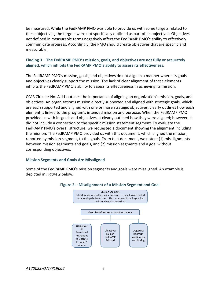be measured. While the FedRAMP PMO was able to provide us with some targets related to these objectives, the targets were not specifically outlined as part of its objectives. Objectives not defined in measurable terms negatively affect the FedRAMP PMO's ability to effectively communicate progress. Accordingly, the PMO should create objectives that are specific and measurable.

#### **Finding 3 – The FedRAMP PMO's mission, goals, and objectives are not fully or accurately aligned, which inhibits the FedRAMP PMO's ability to assess its effectiveness.**

The FedRAMP PMO's mission, goals, and objectives do not align in a manner where its goals and objectives clearly support the mission. The lack of clear alignment of these elements inhibits the FedRAMP PMO's ability to assess its effectiveness in achieving its mission.

OMB Circular No. A-11 outlines the importance of aligning an organization's mission, goals, and objectives. An organization's mission directly supported and aligned with strategic goals, which are each supported and aligned with one or more strategic objectives, clearly outlines how each element is linked to the program's intended mission and purpose. When the FedRAMP PMO provided us with its goals and objectives, it clearly outlined how they were aligned; however, it did not include a connection to the specific mission statement segment. To evaluate the FedRAMP PMO's overall structure, we requested a document showing the alignment including the mission. The FedRAMP PMO provided us with this document, which aligned the mission, reported by mission segment, to the goals. From that document, we noted: (1) misalignments between mission segments and goals, and (2) mission segments and a goal without corresponding objectives.

#### **Mission Segments and Goals Are Misaligned**

Some of the FedRAMP PMO's mission segments and goals were misaligned. An example is depicted in *Figure 2* below.



#### **Figure 2 – Misalignment of a Mission Segment and Goal**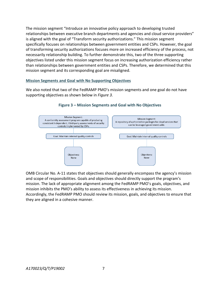The mission segment "Introduce an innovative policy approach to developing trusted relationships between executive branch departments and agencies and cloud service providers" is aligned with the goal of "Transform security authorizations." This mission segment specifically focuses on relationships between government entities and CSPs. However, the goal of transforming security authorizations focuses more on increased efficiency of the process, not necessarily relationship building. To further demonstrate this, two of the three supporting objectives listed under this mission segment focus on increasing authorization efficiency rather than relationships between government entities and CSPs. Therefore, we determined that this mission segment and its corresponding goal are misaligned.

#### **Mission Segments and Goal with No Supporting Objectives**

We also noted that two of the FedRAMP PMO's mission segments and one goal do not have supporting objectives as shown below in *Figure 3.*



#### **Figure 3 – Mission Segments and Goal with No Objectives**

OMB Circular No. A-11 states that objectives should generally encompass the agency's mission and scope of responsibilities. Goals and objectives should directly support the program's mission. The lack of appropriate alignment among the FedRAMP PMO's goals, objectives, and mission inhibits the PMO's ability to assess its effectiveness in achieving its mission. Accordingly, the FedRAMP PMO should review its mission, goals, and objectives to ensure that they are aligned in a cohesive manner.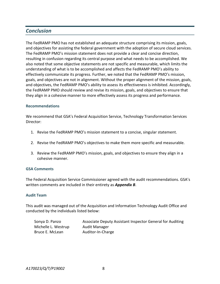## *Conclusion*

The FedRAMP PMO has not established an adequate structure comprising its mission, goals, and objectives for assisting the federal government with the adoption of secure cloud services. The FedRAMP PMO's mission statement does not provide a clear and concise direction, resulting in confusion regarding its central purpose and what needs to be accomplished. We also noted that some objective statements are not specific and measurable, which limits the understanding of what is to be accomplished and affects the FedRAMP PMO's ability to effectively communicate its progress. Further, we noted that the FedRAMP PMO's mission, goals, and objectives are not in alignment. Without the proper alignment of the mission, goals, and objectives, the FedRAMP PMO's ability to assess its effectiveness is inhibited. Accordingly, the FedRAMP PMO should review and revise its mission, goals, and objectives to ensure that they align in a cohesive manner to more effectively assess its progress and performance.

#### **Recommendations**

We recommend that GSA's Federal Acquisition Service, Technology Transformation Services Director:

- 1. Revise the FedRAMP PMO's mission statement to a concise, singular statement.
- 2. Revise the FedRAMP PMO's objectives to make them more specific and measurable.
- 3. Review the FedRAMP PMO's mission, goals, and objectives to ensure they align in a cohesive manner.

#### **GSA Comments**

The Federal Acquisition Service Commissioner agreed with the audit recommendations. GSA's written comments are included in their entirety as *Appendix B*.

#### **Audit Team**

This audit was managed out of the Acquisition and Information Technology Audit Office and conducted by the individuals listed below:

Michelle L. Westrup Audit Manager Bruce E. McLean Auditor-In-Charge

Sonya D. Panzo **Associate Deputy Assistant Inspector General for Auditing**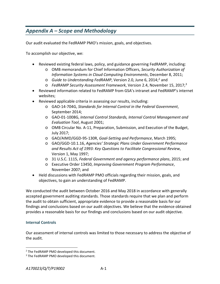# *Appendix A – Scope and Methodology*

Our audit evaluated the FedRAMP PMO's mission, goals, and objectives.

To accomplish our objective, we:

- Reviewed existing federal laws, policy, and guidance governing FedRAMP, including:
	- o OMB memorandum for Chief Information Officers, *Security Authorization of Information Systems in Cloud Computing Environments*, December 8, 2011;
	- o *Guide to Understanding FedRAMP*, Version 2.0, June 6, 2014; [2](#page-11-0) and
	- o *FedRAMP Security Assessment Framework*, Version 2.4, November 15, 2017; [3](#page-11-1)
- Reviewed information related to FedRAMP from GSA's intranet and FedRAMP's internet websites;
- Reviewed applicable criteria in assessing our results, including:
	- o GAO-14-704G, *Standards for Internal Control in the Federal Government*, September 2014;
	- o GAO-01-1008G, *Internal Control Standards, Internal Control Management and Evaluation Tool*, August 2001;
	- o OMB Circular No. A-11, Preparation, Submission, and Execution of the Budget, July 2017;
	- o GAO/AIMD/GGD-95-130R, *Goal-Setting and Performance*, March 1995;
	- o GAO/GGD-10.1.16, *Agencies' Strategic Plans Under Government Performance and Results Act of 1993: Key Questions to Facilitate Congressional Review*, Version 1, May 1997;
	- o 31 U.S.C. 1115, *Federal Government and agency performance plans*, 2015; and
	- o Executive Order 13450, *Improving Government Program Performance*, November 2007; and
- Held discussions with FedRAMP PMO officials regarding their mission, goals, and objectives, to gain an understanding of FedRAMP.

We conducted the audit between October 2016 and May 2018 in accordance with generally accepted government auditing standards. Those standards require that we plan and perform the audit to obtain sufficient, appropriate evidence to provide a reasonable basis for our findings and conclusions based on our audit objectives. We believe that the evidence obtained provides a reasonable basis for our findings and conclusions based on our audit objective.

#### **Internal Controls**

Our assessment of internal controls was limited to those necessary to address the objective of the audit.

<span id="page-11-0"></span><sup>&</sup>lt;sup>2</sup> The FedRAMP PMO developed this document.

<span id="page-11-1"></span><sup>&</sup>lt;sup>3</sup> The FedRAMP PMO developed this document.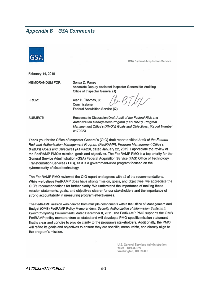## *Appendix B – GSA Comments*



Thank you for the Office of Inspector General's (OIG) draft report entitled Audit of the Federal Risk and Authorization Management Program (FedRAMP), Program Management Office's (PMO's) Goals and Objectives (A170023), dated January 22, 2019. I appreciate the review of the FedRAMP PMO's mission, goals and objectives. The FedRAMP PMO is a top priority for the General Service Administration (GSA) Federal Acquisition Service (FAS) Office of Technology Transformation Services (TTS), as it is a government-wide program focused on the cybersecurity of cloud technology.

The FedRAMP PMO reviewed the OIG report and agrees with all of the recommendations. While we believe FedRAMP does have strong mission, goals, and objectives, we appreciate the OIG's recommendations for further clarity. We understand the importance of making these mission statements, goals, and objectives clearer for our stakeholders and the importance of strong accountability in measuring program effectiveness.

The FedRAMP mission was derived from multiple components within the Office of Management and Budget (OMB) FedRAMP Policy Memorandum, Security Authorization of Information Systems in Cloud Computing Environments, dated December 8, 2011. The FedRAMP PMO supports the OMB FedRAMP policy memorandum as stated and will develop a PMO-specific mission statement that is clear and concise to provide clarity to the program's stakeholders. Additionally, the PMO will refine its goals and objectives to ensure they are specific, measurable, and directly align to the program's mission.

> U.S. General Services Administration 1800 F Street, NW Washington, DC 20405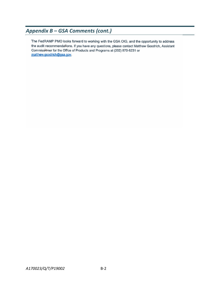# *Appendix B – GSA Comments (cont.)*

The FedRAMP PMO looks forward to working with the GSA OIG, and the opportunity to address the audit recommendations. If you have any questions, please contact Matthew Goodrich, Assistant Commissioner for the Office of Products and Programs at (202) 870-6231 or matthew.goodrich@gsa.gov.